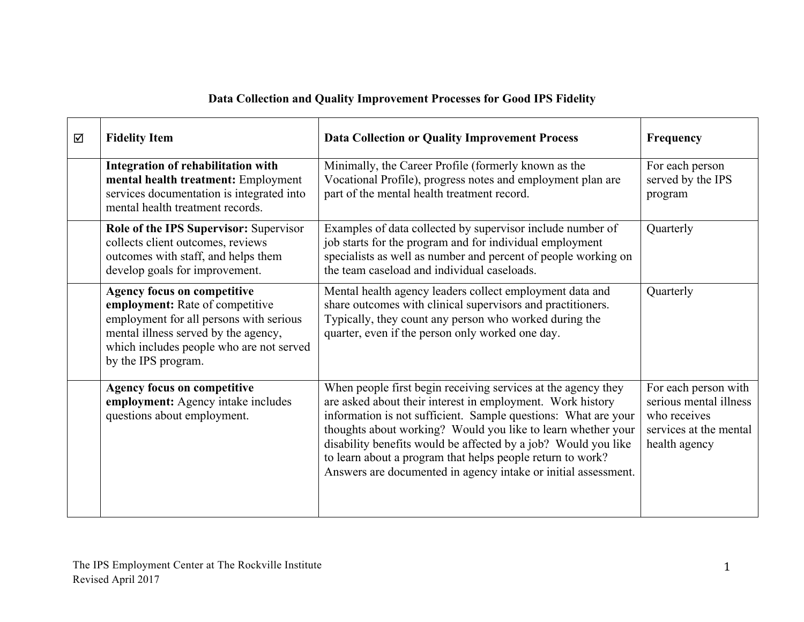## **Data Collection and Quality Improvement Processes for Good IPS Fidelity**

| ☑ | <b>Fidelity Item</b>                                                                                                                                                                                                        | <b>Data Collection or Quality Improvement Process</b>                                                                                                                                                                                                                                                                                                                                                                                                           | Frequency                                                                                                 |
|---|-----------------------------------------------------------------------------------------------------------------------------------------------------------------------------------------------------------------------------|-----------------------------------------------------------------------------------------------------------------------------------------------------------------------------------------------------------------------------------------------------------------------------------------------------------------------------------------------------------------------------------------------------------------------------------------------------------------|-----------------------------------------------------------------------------------------------------------|
|   | Integration of rehabilitation with<br>mental health treatment: Employment<br>services documentation is integrated into<br>mental health treatment records.                                                                  | Minimally, the Career Profile (formerly known as the<br>Vocational Profile), progress notes and employment plan are<br>part of the mental health treatment record.                                                                                                                                                                                                                                                                                              | For each person<br>served by the IPS<br>program                                                           |
|   | Role of the IPS Supervisor: Supervisor<br>collects client outcomes, reviews<br>outcomes with staff, and helps them<br>develop goals for improvement.                                                                        | Examples of data collected by supervisor include number of<br>job starts for the program and for individual employment<br>specialists as well as number and percent of people working on<br>the team caseload and individual caseloads.                                                                                                                                                                                                                         | Quarterly                                                                                                 |
|   | <b>Agency focus on competitive</b><br>employment: Rate of competitive<br>employment for all persons with serious<br>mental illness served by the agency,<br>which includes people who are not served<br>by the IPS program. | Mental health agency leaders collect employment data and<br>share outcomes with clinical supervisors and practitioners.<br>Typically, they count any person who worked during the<br>quarter, even if the person only worked one day.                                                                                                                                                                                                                           | Quarterly                                                                                                 |
|   | <b>Agency focus on competitive</b><br>employment: Agency intake includes<br>questions about employment.                                                                                                                     | When people first begin receiving services at the agency they<br>are asked about their interest in employment. Work history<br>information is not sufficient. Sample questions: What are your<br>thoughts about working? Would you like to learn whether your<br>disability benefits would be affected by a job? Would you like<br>to learn about a program that helps people return to work?<br>Answers are documented in agency intake or initial assessment. | For each person with<br>serious mental illness<br>who receives<br>services at the mental<br>health agency |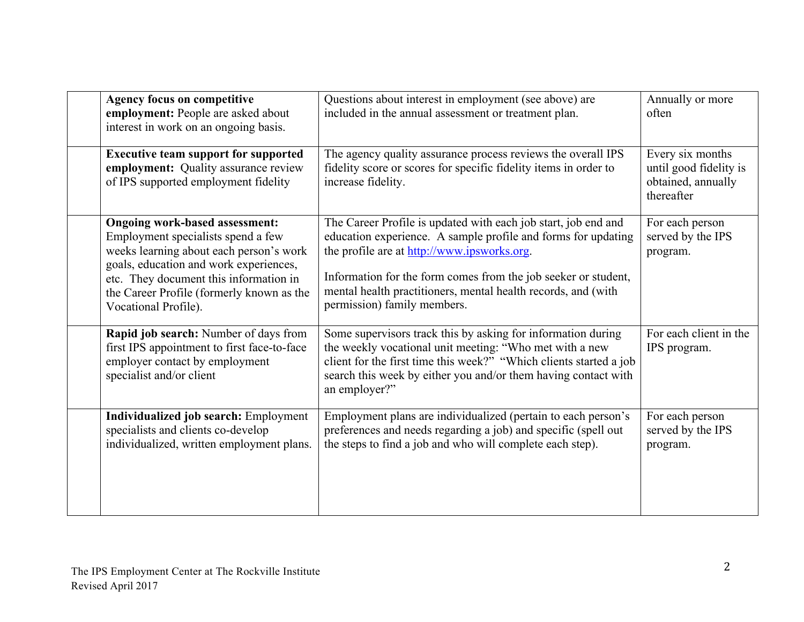| <b>Agency focus on competitive</b><br>employment: People are asked about<br>interest in work on an ongoing basis.                                                                                                                                                               | Questions about interest in employment (see above) are<br>included in the annual assessment or treatment plan.                                                                                                                                                                                                                                   | Annually or more<br>often                                                      |
|---------------------------------------------------------------------------------------------------------------------------------------------------------------------------------------------------------------------------------------------------------------------------------|--------------------------------------------------------------------------------------------------------------------------------------------------------------------------------------------------------------------------------------------------------------------------------------------------------------------------------------------------|--------------------------------------------------------------------------------|
| <b>Executive team support for supported</b><br>employment: Quality assurance review<br>of IPS supported employment fidelity                                                                                                                                                     | The agency quality assurance process reviews the overall IPS<br>fidelity score or scores for specific fidelity items in order to<br>increase fidelity.                                                                                                                                                                                           | Every six months<br>until good fidelity is<br>obtained, annually<br>thereafter |
| <b>Ongoing work-based assessment:</b><br>Employment specialists spend a few<br>weeks learning about each person's work<br>goals, education and work experiences,<br>etc. They document this information in<br>the Career Profile (formerly known as the<br>Vocational Profile). | The Career Profile is updated with each job start, job end and<br>education experience. A sample profile and forms for updating<br>the profile are at http://www.ipsworks.org.<br>Information for the form comes from the job seeker or student,<br>mental health practitioners, mental health records, and (with<br>permission) family members. | For each person<br>served by the IPS<br>program.                               |
| Rapid job search: Number of days from<br>first IPS appointment to first face-to-face<br>employer contact by employment<br>specialist and/or client                                                                                                                              | Some supervisors track this by asking for information during<br>the weekly vocational unit meeting: "Who met with a new<br>client for the first time this week?" "Which clients started a job<br>search this week by either you and/or them having contact with<br>an employer?"                                                                 | For each client in the<br>IPS program.                                         |
| Individualized job search: Employment<br>specialists and clients co-develop<br>individualized, written employment plans.                                                                                                                                                        | Employment plans are individualized (pertain to each person's<br>preferences and needs regarding a job) and specific (spell out<br>the steps to find a job and who will complete each step).                                                                                                                                                     | For each person<br>served by the IPS<br>program.                               |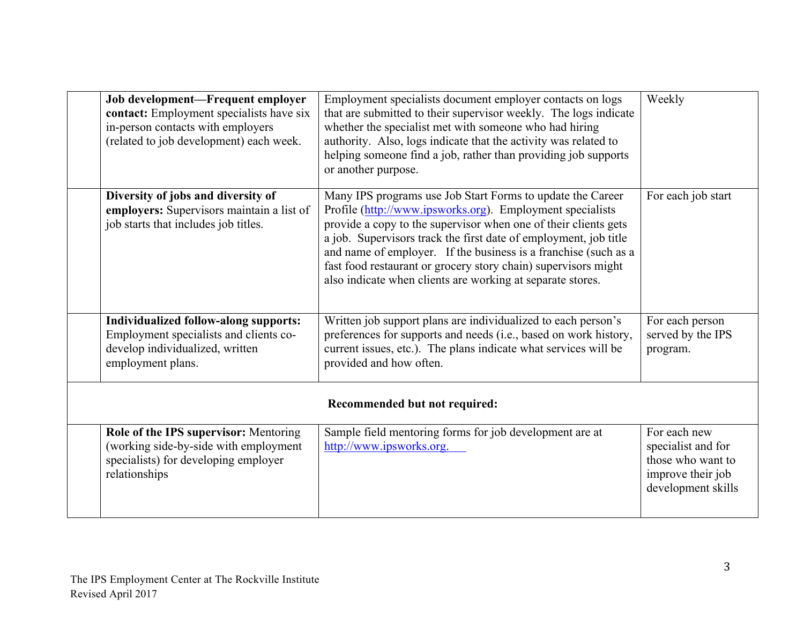|                               | Job development-Frequent employer<br>contact: Employment specialists have six<br>in-person contacts with employers<br>(related to job development) each week. | Employment specialists document employer contacts on logs<br>that are submitted to their supervisor weekly. The logs indicate<br>whether the specialist met with someone who had hiring<br>authority. Also, logs indicate that the activity was related to<br>helping someone find a job, rather than providing job supports<br>or another purpose.                                                                                                               | Weekly                                                                                             |  |  |
|-------------------------------|---------------------------------------------------------------------------------------------------------------------------------------------------------------|-------------------------------------------------------------------------------------------------------------------------------------------------------------------------------------------------------------------------------------------------------------------------------------------------------------------------------------------------------------------------------------------------------------------------------------------------------------------|----------------------------------------------------------------------------------------------------|--|--|
|                               | Diversity of jobs and diversity of<br>employers: Supervisors maintain a list of<br>job starts that includes job titles.                                       | Many IPS programs use Job Start Forms to update the Career<br>Profile (http://www.ipsworks.org). Employment specialists<br>provide a copy to the supervisor when one of their clients gets<br>a job. Supervisors track the first date of employment, job title<br>and name of employer. If the business is a franchise (such as a<br>fast food restaurant or grocery story chain) supervisors might<br>also indicate when clients are working at separate stores. | For each job start                                                                                 |  |  |
|                               | <b>Individualized follow-along supports:</b><br>Employment specialists and clients co-<br>develop individualized, written<br>employment plans.                | Written job support plans are individualized to each person's<br>preferences for supports and needs (i.e., based on work history,<br>current issues, etc.). The plans indicate what services will be<br>provided and how often.                                                                                                                                                                                                                                   | For each person<br>served by the IPS<br>program.                                                   |  |  |
| Recommended but not required: |                                                                                                                                                               |                                                                                                                                                                                                                                                                                                                                                                                                                                                                   |                                                                                                    |  |  |
|                               | Role of the IPS supervisor: Mentoring<br>(working side-by-side with employment<br>specialists) for developing employer<br>relationships                       | Sample field mentoring forms for job development are at<br>http://www.ipsworks.org.                                                                                                                                                                                                                                                                                                                                                                               | For each new<br>specialist and for<br>those who want to<br>improve their job<br>development skills |  |  |